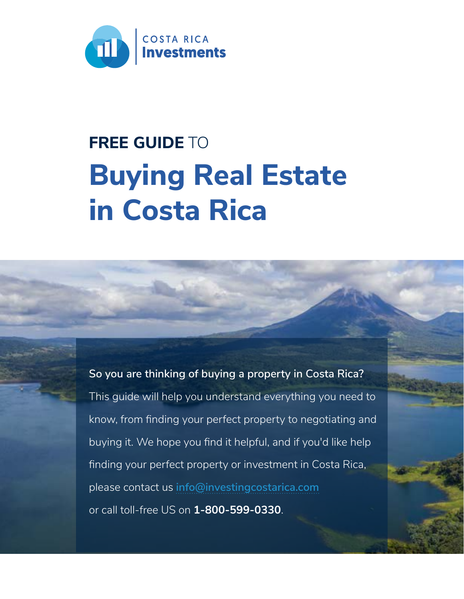

# **Buying Real Estate in Costa Rica FREE GUIDE** TO

**So you are thinking of buying a property in Costa Rica?**  This guide will help you understand everything you need to know, from finding your perfect property to negotiating and buying it. We hope you find it helpful, and if you'd like help finding your perfect property or investment in Costa Rica, please contact us **[info@investingcostarica.com](mailto:info%40investingcostarica.com?subject=)** or call toll-free US on **1-800-599-0330**.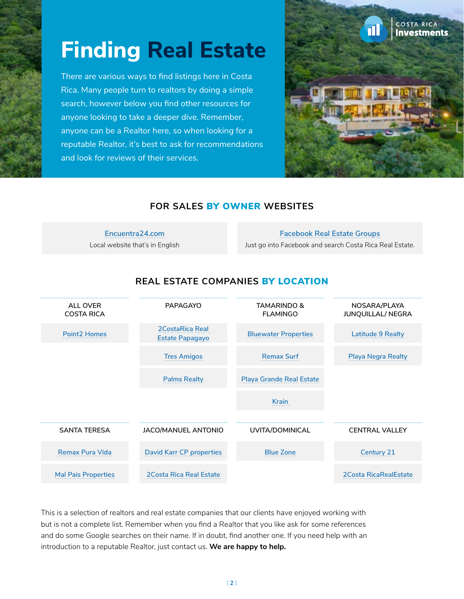# **Finding Real Estate**

There are various ways to find listings here in Costa Rica. Many people turn to realtors by doing a simple search, however below you find other resources for anyone looking to take a deeper dive. Remember, anyone can be a Realtor here, so when looking for a reputable Realtor, it's best to ask for recommendations and look for reviews of their services.



### **FOR SALES** BY OWNER **WEBSITES**

#### **Encuentra24.com** [Local website that's in English](https://www.encuentra24.com/costa-rica-en/real-estate)

#### **Facebook Real Estate Groups**

[Just go into Facebook and search Costa Rica Real Estate.](https://www.facebook.com/search/groups/?q=Costa%20Rica%20Real%20Estate)



### **REAL ESTATE COMPANIES** BY LOCATION

This is a selection of realtors and real estate companies that our clients have enjoyed working with but is not a complete list. Remember when you find a Realtor that you like ask for some references and do some Google searches on their name. If in doubt, find another one. If you need help with an introduction to a reputable Realtor, just contact us. **We are happy to help.**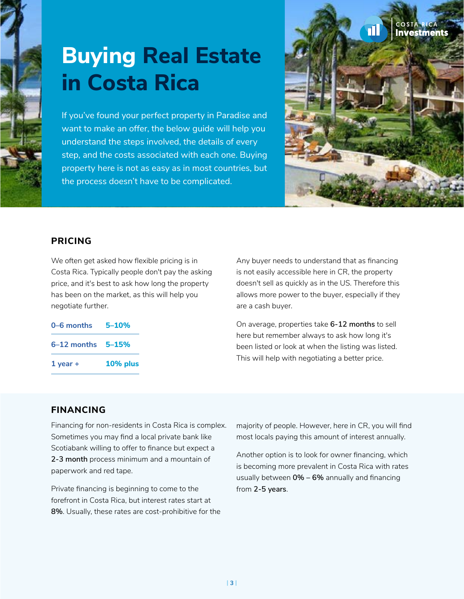

# **Buying Real Estate in Costa Rica**

If you've found your perfect property in Paradise and want to make an offer, the below guide will help you understand the steps involved, the details of every step, and the costs associated with each one. Buying property here is not as easy as in most countries, but the process doesn't have to be complicated.



#### **PRICING**

We often get asked how flexible pricing is in Costa Rica. Typically people don't pay the asking price, and it's best to ask how long the property has been on the market, as this will help you negotiate further.

| 0-6 months                | $5 - 10%$ |
|---------------------------|-----------|
| $6 - 12$ months $5 - 15%$ |           |
| $1$ year +                | 10% plus  |

Any buyer needs to understand that as financing is not easily accessible here in CR, the property doesn't sell as quickly as in the US. Therefore this allows more power to the buyer, especially if they are a cash buyer.

On average, properties take **6-12 months** to sell here but remember always to ask how long it's been listed or look at when the listing was listed. This will help with negotiating a better price.

#### **FINANCING**

Financing for non-residents in Costa Rica is complex. Sometimes you may find a local private bank like Scotiabank willing to offer to finance but expect a **2-3 month** process minimum and a mountain of paperwork and red tape.

Private financing is beginning to come to the forefront in Costa Rica, but interest rates start at **8%**. Usually, these rates are cost-prohibitive for the majority of people. However, here in CR, you will find most locals paying this amount of interest annually.

Another option is to look for owner financing, which is becoming more prevalent in Costa Rica with rates usually between **0% – 6%** annually and financing from **2-5 years**.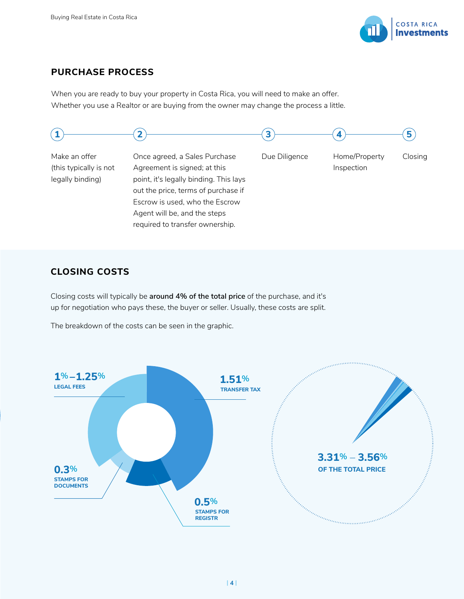

### **PURCHASE PROCESS**

When you are ready to buy your property in Costa Rica, you will need to make an offer. Whether you use a Realtor or are buying from the owner may change the process a little.



#### **CLOSING COSTS**

Closing costs will typically be **around 4% of the total price** of the purchase, and it's up for negotiation who pays these, the buyer or seller. Usually, these costs are split.

The breakdown of the costs can be seen in the graphic.

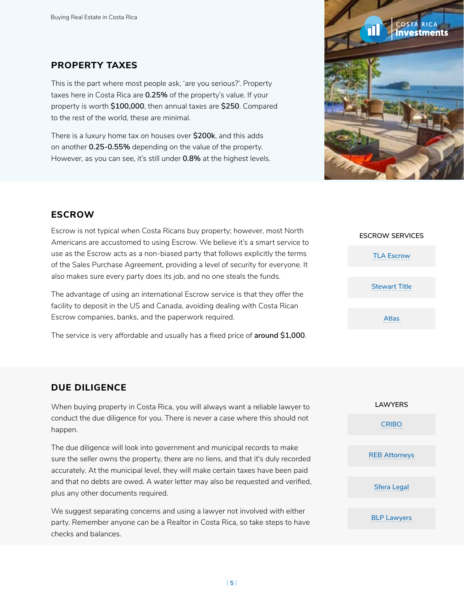#### **PROPERTY TAXES**

This is the part where most people ask, 'are you serious?'. Property taxes here in Costa Rica are **0.25%** of the property's value. If your property is worth **\$100,000**, then annual taxes are **\$250**. Compared to the rest of the world, these are minimal.

There is a luxury home tax on houses over **\$200k**, and this adds on another **0.25-0.55%** depending on the value of the property. However, as you can see, it's still under **0.8%** at the highest levels.



### **ESCROW**

Escrow is not typical when Costa Ricans buy property; however, most North Americans are accustomed to using Escrow. We believe it's a smart service to use as the Escrow acts as a non-biased party that follows explicitly the terms of the Sales Purchase Agreement, providing a level of security for everyone. It also makes sure every party does its job, and no one steals the funds.

The advantage of using an international Escrow service is that they offer the facility to deposit in the US and Canada, avoiding dealing with Costa Rican Escrow companies, banks, and the paperwork required.

The service is very affordable and usually has a fixed price of **around \$1,000**.

### **ESCROW SERVICES [Atlas](https://atlasescrow.com/)  [TLA Escrow](https://tlaservices.com/) [Stewart Title](https://www.stewart.com/en.html)**

#### **DUE DILIGENCE**

When buying property in Costa Rica, you will always want a reliable lawyer to conduct the due diligence for you. There is never a case where this should not happen.

The due diligence will look into government and municipal records to make sure the seller owns the property, there are no liens, and that it's duly recorded accurately. At the municipal level, they will make certain taxes have been paid and that no debts are owed. A water letter may also be requested and verified, plus any other documents required.

We suggest separating concerns and using a lawyer not involved with either party. Remember anyone can be a Realtor in Costa Rica, so take steps to have checks and balances.

| <b>LAWYERS</b>       |
|----------------------|
| <b>CRIBO</b>         |
|                      |
| <b>REB Attorneys</b> |
|                      |
| <b>Sfera Legal</b>   |
|                      |
|                      |

**[BLP Lawyers](https://www.blplegal.com/)**